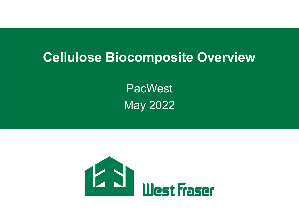# **Cellulose Biocomposite Overview**

PacWest May 2022

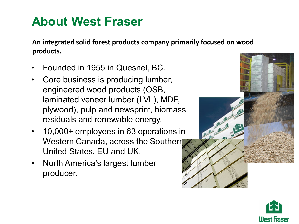# **About West Fraser**

**An integrated solid forest products company primarily focused on wood products.**

- Founded in 1955 in Quesnel, BC.
- Core business is producing lumber, engineered wood products (OSB, laminated veneer lumber (LVL), MDF, plywood), pulp and newsprint, biomass residuals and renewable energy.
- 10,000+ employees in 63 operations in Western Canada, across the Southern United States, EU and UK.
- North America's largest lumber producer.



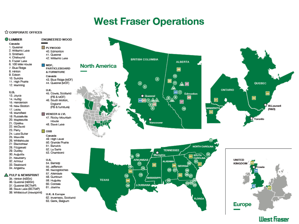#### **West Fraser Operations**

#### **A CORPORATE OFFICES**



#### **West Fraser**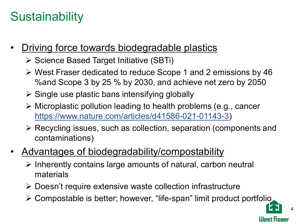# **Sustainability**

- Driving force towards biodegradable plastics
	- **≻ Science Based Target Initiative (SBTi)**
	- West Fraser dedicated to reduce Scope 1 and 2 emissions by 46 %and Scope 3 by 25 % by 2030, and achieve net zero by 2050
	- $\triangleright$  Single use plastic bans intensifying globally
	- Microplastic pollution leading to health problems (e.g., cancer [https://www.nature.com/articles/d41586-021-01143-3\)](https://www.nature.com/articles/d41586-021-01143-3)
	- Recycling issues, such as collection, separation (components and contaminations)
- Advantages of biodegradability/compostability
	- $\triangleright$  Inherently contains large amounts of natural, carbon neutral materials
	- Doesn't require extensive waste collection infrastructure
	- Compostable is better; however, "life-span" limit product portfolio

4

lllest traser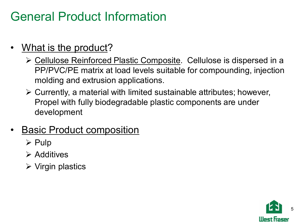# General Product Information

- What is the product?
	- Cellulose Reinforced Plastic Composite. Cellulose is dispersed in a PP/PVC/PE matrix at load levels suitable for compounding, injection molding and extrusion applications.
	- $\triangleright$  Currently, a material with limited sustainable attributes; however, Propel with fully biodegradable plastic components are under development
- Basic Product composition
	- $\triangleright$  Pulp
	- $\triangleright$  Additives
	- $\triangleright$  Virgin plastics

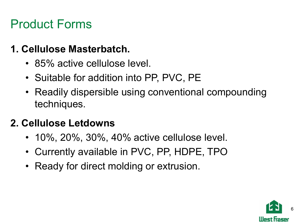# Product Forms

#### **1. Cellulose Masterbatch.**

- 85% active cellulose level.
- Suitable for addition into PP, PVC, PE
- Readily dispersible using conventional compounding techniques.

### **2. Cellulose Letdowns**

- 10%, 20%, 30%, 40% active cellulose level.
- Currently available in PVC, PP, HDPE, TPO
- Ready for direct molding or extrusion.

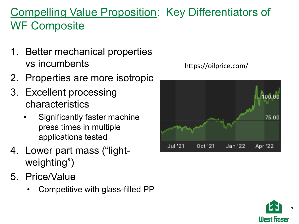## Compelling Value Proposition: Key Differentiators of WF Composite

- 1. Better mechanical properties vs incumbents
- 2. Properties are more isotropic
- 3. Excellent processing characteristics
	- Significantly faster machine press times in multiple applications tested
- 4. Lower part mass ("lightweighting")
- 5. Price/Value
	- Competitive with glass-filled PP

https://oilprice.com/



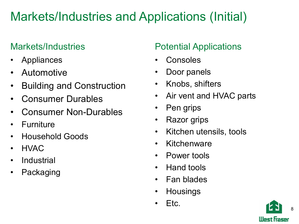# Markets/Industries and Applications (Initial)

#### Markets/Industries

- **Appliances**
- Automotive
- Building and Construction
- Consumer Durables
- Consumer Non-Durables
- **Furniture**
- Household Goods
- HVAC
- **Industrial**
- **Packaging**

#### Potential Applications

- **Consoles**
- Door panels
- Knobs, shifters
- Air vent and HVAC parts
- Pen grips
- Razor grips
- Kitchen utensils, tools
- Kitchenware
- Power tools
- Hand tools
- Fan blades
- **Housings**
- Etc.

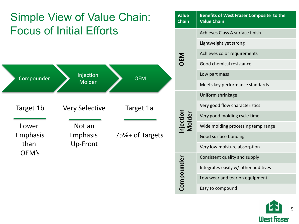## Simple View of Value Chain: Focus of Initial Efforts



|  | <b>Value</b><br>Benefits of West Fraser Composite to the<br><b>Chain</b><br><b>Value Chain</b> |                                      |  |  |
|--|------------------------------------------------------------------------------------------------|--------------------------------------|--|--|
|  | DEM                                                                                            | Achieves Class A surface finish      |  |  |
|  |                                                                                                | Lightweight yet strong               |  |  |
|  |                                                                                                | Achieves color requirements          |  |  |
|  |                                                                                                | Good chemical resistance             |  |  |
|  |                                                                                                | Low part mass                        |  |  |
|  |                                                                                                | Meets key performance standards      |  |  |
|  | njection<br><b>Molder</b>                                                                      | Uniform shrinkage                    |  |  |
|  |                                                                                                | Very good flow characteristics       |  |  |
|  |                                                                                                | Very good molding cycle time         |  |  |
|  |                                                                                                | Wide molding processing temp range   |  |  |
|  |                                                                                                | Good surface bonding                 |  |  |
|  |                                                                                                | Very low moisture absorption         |  |  |
|  | Compounder                                                                                     | Consistent quality and supply        |  |  |
|  |                                                                                                | Integrates easily w/ other additives |  |  |
|  |                                                                                                | Low wear and tear on equipment       |  |  |
|  |                                                                                                | Easy to compound                     |  |  |

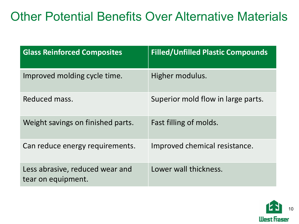# Other Potential Benefits Over Alternative Materials

| <b>Glass Reinforced Composites</b>                    | <b>Filled/Unfilled Plastic Compounds</b> |
|-------------------------------------------------------|------------------------------------------|
| Improved molding cycle time.                          | Higher modulus.                          |
| Reduced mass.                                         | Superior mold flow in large parts.       |
| Weight savings on finished parts.                     | Fast filling of molds.                   |
| Can reduce energy requirements.                       | Improved chemical resistance.            |
| Less abrasive, reduced wear and<br>tear on equipment. | Lower wall thickness.                    |

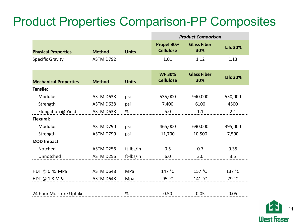# Product Properties Comparison-PP Composites

|                              |               |              | <b>Product Comparison</b>         |                           |                 |
|------------------------------|---------------|--------------|-----------------------------------|---------------------------|-----------------|
| <b>Physical Properties</b>   | <b>Method</b> | <b>Units</b> | Propel 30%<br><b>Cellulose</b>    | <b>Glass Fiber</b><br>30% | <b>Talc 30%</b> |
| <b>Specific Gravity</b>      | ASTM D792     |              | 1.01                              | 1.12                      | 1.13            |
| <b>Mechanical Properties</b> | <b>Method</b> | <b>Units</b> | <b>WF 30%</b><br><b>Cellulose</b> | <b>Glass Fiber</b><br>30% | <b>Talc 30%</b> |
| <b>Tensile:</b>              |               |              |                                   |                           |                 |
| <b>Modulus</b>               | ASTM D638     | psi          | 535,000                           | 940,000                   | 550,000         |
| Strength                     | ASTM D638     | psi          | 7,400                             | 6100                      | 4500            |
| Elongation @ Yield           | ASTM D638     | %            | 5.0                               | 1.1                       | 2.1             |
| Flexural:                    |               |              |                                   |                           |                 |
| <b>Modulus</b>               | ASTM D790     | psi          | 465,000                           | 690,000                   | 395,000         |
| Strength                     | ASTM D790     | psi          | 11,700                            | 10,500                    | 7,500           |
| <b>IZOD Impact:</b>          |               |              |                                   |                           |                 |
| Notched                      | ASTM D256     | ft-Ibs/in    | 0.5                               | 0.7                       | 0.35            |
| Unnotched                    | ASTM D256     | ft-Ibs/in    | 6.0                               | 3.0                       | 3.5             |
|                              |               |              |                                   |                           |                 |
| HDT @ 0.45 MPa               | ASTM D648     | <b>MPa</b>   | 147 °C                            | 157 °C                    | 137 °C          |
| HDT @ 1.8 MPa                | ASTM D648     | Mpa          | 95 °C                             | 141 °C                    | 79 °C           |
| 24 hour Moisture Uptake      |               | %            | 0.50                              | 0.05                      | 0.05            |

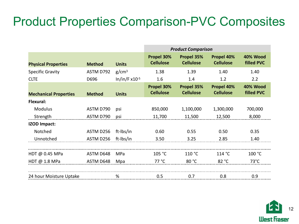# Product Properties Comparison-PVC Composites

|                              |               |                    | <b>Product Comparison</b>      |                                |                                |                                      |
|------------------------------|---------------|--------------------|--------------------------------|--------------------------------|--------------------------------|--------------------------------------|
| <b>Physical Properties</b>   | <b>Method</b> | <b>Units</b>       | Propel 30%<br><b>Cellulose</b> | Propel 35%<br><b>Cellulose</b> | Propel 40%<br><b>Cellulose</b> | 40% Wood<br><b>filled PVC</b>        |
| <b>Specific Gravity</b>      | ASTM D792     | g/cm <sup>3</sup>  | 1.38                           | 1.39                           | 1.40                           | 1.40                                 |
| <b>CLTE</b>                  | D696          | $In/in/F x10^{-5}$ | 1.6                            | 1.4                            | 1.2                            | 2.2                                  |
| <b>Mechanical Properties</b> | <b>Method</b> | <b>Units</b>       | Propel 30%<br><b>Cellulose</b> | Propel 35%<br><b>Cellulose</b> | Propel 40%<br><b>Cellulose</b> | <b>40% Wood</b><br><b>filled PVC</b> |
| Flexural:                    |               |                    |                                |                                |                                |                                      |
| <b>Modulus</b>               | ASTM D790     | psi                | 850,000                        | 1,100,000                      | 1,300,000                      | 700,000                              |
| Strength                     | ASTM D790     | psi                | 11,700                         | 11,500                         | 12,500                         | 8,000                                |
| <b>IZOD Impact:</b>          |               |                    |                                |                                |                                |                                      |
| Notched                      | ASTM D256     | ft-Ibs/in          | 0.60                           | 0.55                           | 0.50                           | 0.35                                 |
| Unnotched                    | ASTM D256     | ft-Ibs/in          | 3.50                           | 3.25                           | 2.85                           | 1.40                                 |
|                              |               |                    |                                |                                |                                |                                      |
| HDT @ $0.45$ MPa             | ASTM D648     | MPa                | 105 °C                         | 110 °C                         | 114 °C                         | 100 °C                               |
| HDT $@1.8$ MPa               | ASTM D648     | Mpa                | 77 °C                          | 80 °C                          | 82 °C                          | $73^{\circ}$ C                       |
|                              |               |                    |                                |                                |                                |                                      |
| %<br>24 hour Moisture Uptake |               |                    | 0.5                            | 0.7                            | 0.8                            | 0.9                                  |

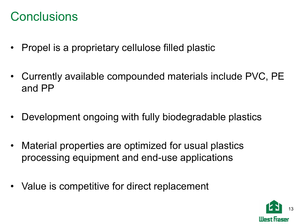# **Conclusions**

- Propel is a proprietary cellulose filled plastic
- Currently available compounded materials include PVC, PE and PP
- Development ongoing with fully biodegradable plastics
- Material properties are optimized for usual plastics processing equipment and end-use applications
- Value is competitive for direct replacement